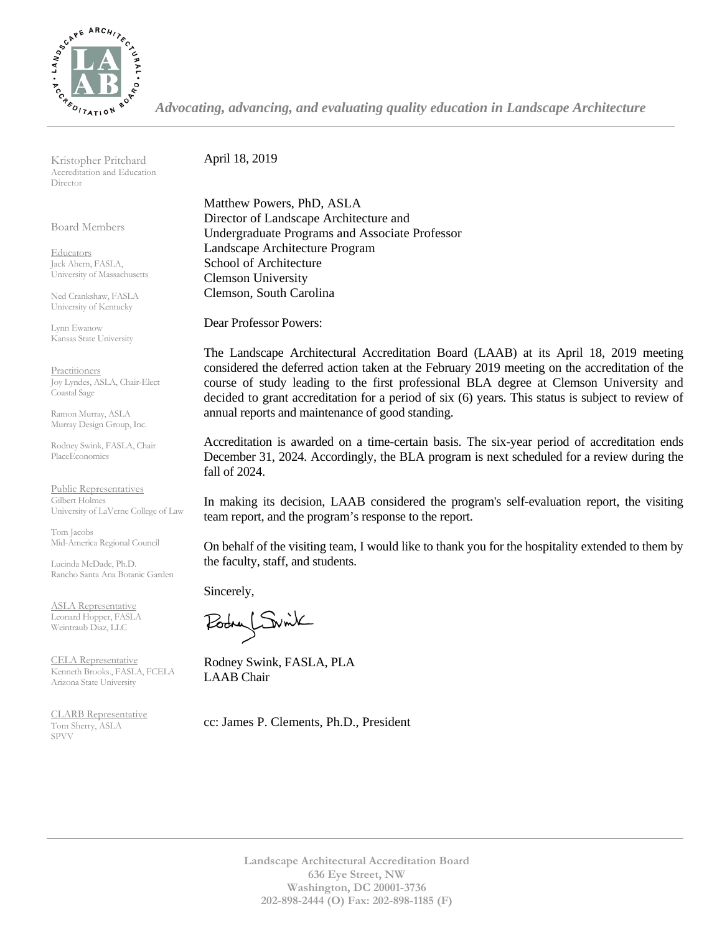

*Advocating, advancing, and evaluating quality education in Landscape Architecture*

Kristopher Pritchard Accreditation and Education Director

Board Members

**Educators** Jack Ahern, FASLA, University of Massachusetts

Ned Crankshaw, FASLA University of Kentucky

Lynn Ewanow Kansas State University

**Practitioners** Joy Lyndes, ASLA, Chair-Elect Coastal Sage

Ramon Murray, ASLA Murray Design Group, Inc.

Rodney Swink, FASLA, Chair PlaceEconomics

Public Representatives Gilbert Holmes University of LaVerne College of Law

Tom Jacobs Mid-America Regional Council

Lucinda McDade, Ph.D. Rancho Santa Ana Botanic Garden

ASLA Representative Leonard Hopper, FASLA Weintraub Diaz, LLC

CELA Representative Kenneth Brooks., FASLA, FCELA Arizona State University

CLARB Representative Tom Sherry, ASLA SPVV Landscape of the set of the set of the set of the set of the set of the set of the set of the set of the set of the set of the set of the set of the set of the set of the set of the set of the set of the set of the se

April 18, 2019

Matthew Powers, PhD, ASLA Director of Landscape Architecture and Undergraduate Programs and Associate Professor Landscape Architecture Program School of Architecture Clemson University Clemson, South Carolina

Dear Professor Powers:

The Landscape Architectural Accreditation Board (LAAB) at its April 18, 2019 meeting considered the deferred action taken at the February 2019 meeting on the accreditation of the course of study leading to the first professional BLA degree at Clemson University and decided to grant accreditation for a period of six (6) years. This status is subject to review of annual reports and maintenance of good standing.

Accreditation is awarded on a time-certain basis. The six-year period of accreditation ends December 31, 2024. Accordingly, the BLA program is next scheduled for a review during the fall of 2024.

In making its decision, LAAB considered the program's self-evaluation report, the visiting team report, and the program's response to the report.

On behalf of the visiting team, I would like to thank you for the hospitality extended to them by the faculty, staff, and students.

Sincerely,

Podry Switch

Rodney Swink, FASLA, PLA LAAB Chair

cc: James P. Clements, Ph.D., President